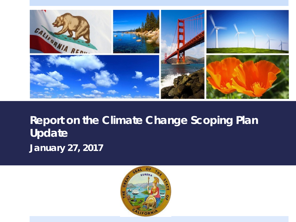

#### **Report on the Climate Change Scoping Plan Update** *January 27, 2017*

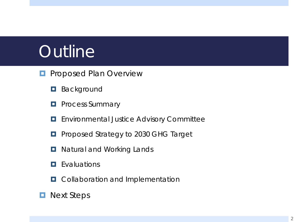# **Outline**

- **PROPOSED Plan Overview** 
	- **Background**
	- **Process Summary**
	- **E** Environmental Justice Advisory Committee
	- **Proposed Strategy to 2030 GHG Target**
	- **D** Natural and Working Lands
	- **Exaluations**
	- **D** Collaboration and Implementation
- **Next Steps**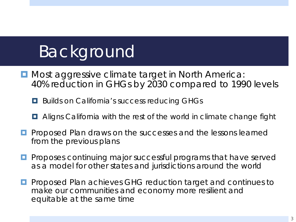# Background

- **D** Most aggressive climate target in North America: 40% reduction in GHGs by 2030 compared to 1990 levels
	- **Builds on California's success reducing GHGs**
	- **E** Aligns California with the rest of the world in climate change fight
- **Pedal Proposed Plan draws on the successes and the lessons learned** from the previous plans
- **P** Proposes continuing major successful programs that have served as a model for other states and jurisdictions around the world
- **P** Proposed Plan achieves GHG reduction target and continues to make our communities and economy more resilient and equitable at the same time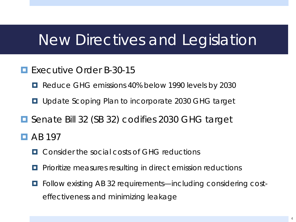## New Directives and Legislation

- **Executive Order B-30-15** 
	- **Reduce GHG emissions 40% below 1990 levels by 2030**
	- **u** Update Scoping Plan to incorporate 2030 GHG target
- Senate Bill 32 (SB 32) codifies 2030 GHG target
- $\Box$  AB 197
	- **<u>E.</u>** Consider the social costs of GHG reductions
	- Prioritize measures resulting in direct emission reductions
	- Follow existing AB 32 requirements—including considering costeffectiveness and minimizing leakage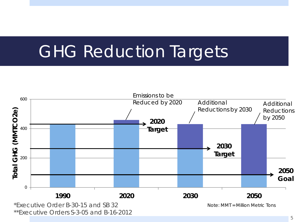# GHG Reduction Targets



\*\*Executive Orders S-3-05 and B-16-2012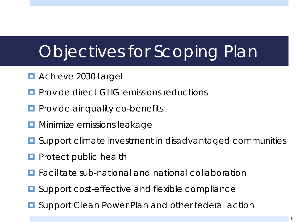# Objectives for Scoping Plan

- **E** Achieve 2030 target
- Provide direct GHG emissions reductions
- **Provide air quality co-benefits**
- **D** Minimize emissions leakage
- **O** Support climate investment in disadvantaged communities
- Protect public health
- **Facilitate sub-national and national collaboration**
- **■** Support cost-effective and flexible compliance
- **D** Support Clean Power Plan and other federal action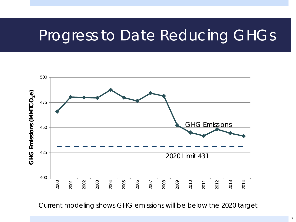## Progress to Date Reducing GHGs



Current modeling shows GHG emissions will be below the 2020 target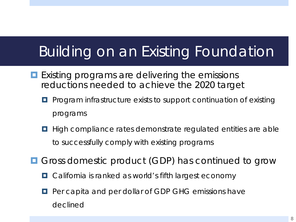## Building on an Existing Foundation

- **Existing programs are delivering the emissions** reductions needed to achieve the 2020 target
	- **P** Program infrastructure exists to support continuation of existing programs
	- $\Box$  High compliance rates demonstrate regulated entities are able to successfully comply with existing programs
- **O** Gross domestic product (GDP) has continued to grow
	- California is ranked as world's fifth largest economy
	- **P** Per capita and per dollar of GDP GHG emissions have declined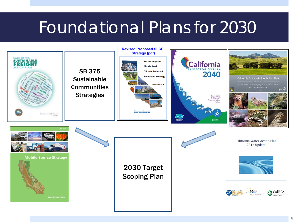# Foundational Plans for 2030

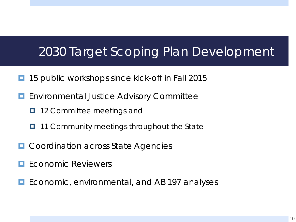#### 2030 Target Scoping Plan Development

- 15 public workshops since kick-off in Fall 2015
- **E** Environmental Justice Advisory Committee
	- **12 Committee meetings and**
	- $\Box$  11 Community meetings throughout the State
- Coordination across State Agencies
- Economic Reviewers
- Economic, environmental, and AB 197 analyses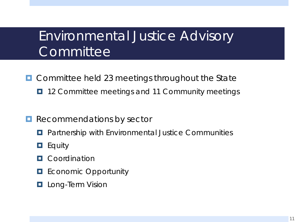#### Environmental Justice Advisory **Committee**

- **O** Committee held 23 meetings throughout the State
	- $\blacksquare$  12 Committee meetings and 11 Community meetings
- **Recommendations by sector** 
	- **Partnership with Environmental Justice Communities**
	- $\Box$  Equity
	- **D** Coordination
	- **EXECONOMIC Opportunity**
	- **L** Long-Term Vision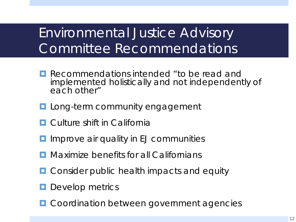### Environmental Justice Advisory Committee Recommendations

- **Recommendations intended "to be read and** implemented holistically and not independently of each other"
- **L** Long-term community engagement
- **D** Culture shift in California
- **I** Improve air quality in EJ communities
- **<u>E</u>** Maximize benefits for all Californians
- **O** Consider public health impacts and equity
- **D** Develop metrics
- **D** Coordination between government agencies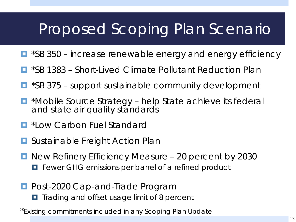## Proposed Scoping Plan Scenario

- \*SB 350 increase renewable energy and energy efficiency
- \*SB 1383 Short-Lived Climate Pollutant Reduction Plan
- \*SB 375 support sustainable community development
- $\blacksquare$  \*Mobile Source Strategy help State achieve its federal and state air quality standards
- **E** \*Low Carbon Fuel Standard
- **<u>E</u>** Sustainable Freight Action Plan
- New Refinery Efficiency Measure 20 percent by 2030 **Fewer GHG emissions per barrel of a refined product**
- **Post-2020 Cap-and-Trade Program** 
	- **T** Trading and offset usage limit of 8 percent
- \*Existing commitments included in any Scoping Plan Update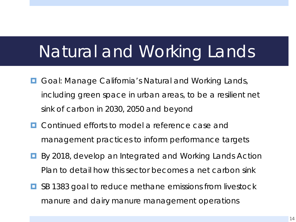# Natural and Working Lands

- Goal: Manage California's Natural and Working Lands, including green space in urban areas, to be a resilient net sink of carbon in 2030, 2050 and beyond
- **E** Continued efforts to model a reference case and management practices to inform performance targets
- **By 2018, develop an Integrated and Working Lands Action** Plan to detail how this sector becomes a net carbon sink
- **E** SB 1383 goal to reduce methane emissions from livestock manure and dairy manure management operations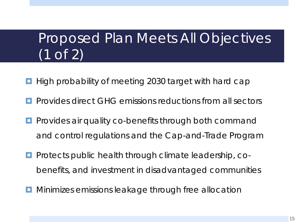## Proposed Plan Meets All Objectives (1 of 2)

- High probability of meeting 2030 target with hard cap
- Provides direct GHG emissions reductions from all sectors
- Provides air quality co-benefits through both command and control regulations and the Cap-and-Trade Program
- Protects public health through climate leadership, cobenefits, and investment in disadvantaged communities
- Minimizes emissions leakage through free allocation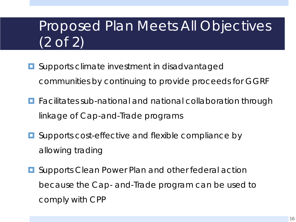## Proposed Plan Meets All Objectives (2 of 2)

- **O** Supports climate investment in disadvantaged communities by continuing to provide proceeds for GGRF
- **Facilitates sub-national and national collaboration through** linkage of Cap-and-Trade programs
- **Q** Supports cost-effective and flexible compliance by allowing trading
- **E** Supports Clean Power Plan and other federal action because the Cap- and-Trade program can be used to comply with CPP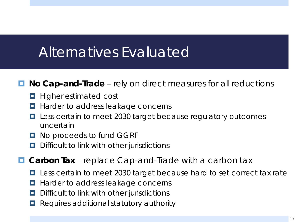### Alternatives Evaluated

#### ■ **No Cap-and-Trade** – rely on direct measures for all reductions

- **Higher estimated cost**
- **Harder to address leakage concerns**
- **L** Less certain to meet 2030 target because regulatory outcomes uncertain
- **D** No proceeds to fund GGRF
- $\Box$  Difficult to link with other jurisdictions
- **Carbon Tax** replace Cap-and-Trade with a carbon tax
	- Less certain to meet 2030 target because hard to set correct tax rate
	- **Harder to address leakage concerns**
	- **D** Difficult to link with other jurisdictions
	- Requires additional statutory authority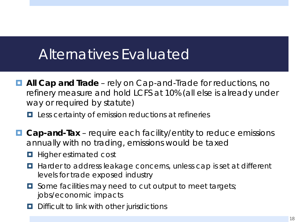#### Alternatives Evaluated

■ **All Cap and Trade** – rely on Cap-and-Trade for reductions, no refinery measure and hold LCFS at 10% (all else is already under way or required by statute)

**L** Less certainty of emission reductions at refineries

- **Cap-and-Tax** require each facility/entity to reduce emissions annually with no trading, emissions would be taxed
	- **Higher estimated cost**
	- Harder to address leakage concerns, unless cap is set at different levels for trade exposed industry
	- **D** Some facilities may need to cut output to meet targets; jobs/economic impacts
	- **D** Difficult to link with other jurisdictions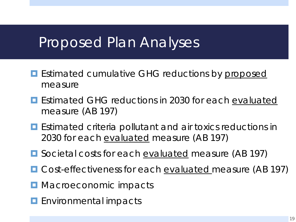#### Proposed Plan Analyses

- **E** Estimated cumulative GHG reductions by proposed measure
- **E** Estimated GHG reductions in 2030 for each evaluated measure (AB 197)
- **E** Estimated criteria pollutant and air toxics reductions in 2030 for each evaluated measure (AB 197)
- Societal costs for each <u>evaluated</u> measure (AB 197)
- Cost-effectiveness for each <u>evaluated</u> measure (AB 197)
- **<u>E</u>** Macroeconomic impacts
- **E** Environmental impacts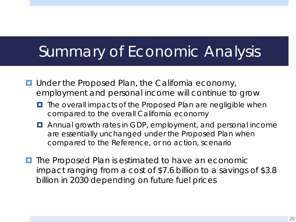## Summary of Economic Analysis

- Under the Proposed Plan, the California economy, employment and personal income will continue to grow
	- $\blacksquare$  The overall impacts of the Proposed Plan are negligible when compared to the overall California economy
	- Annual growth rates in GDP, employment, and personal income are essentially unchanged under the Proposed Plan when compared to the Reference, or no action, scenario
- **The Proposed Plan is estimated to have an economic** impact ranging from a cost of \$7.6 billion to a savings of \$3.8 billion in 2030 depending on future fuel prices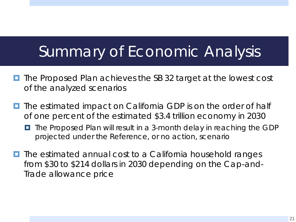## Summary of Economic Analysis

- $\blacksquare$  The Proposed Plan achieves the SB 32 target at the lowest cost of the analyzed scenarios
- **The estimated impact on California GDP is on the order of half** of one percent of the estimated \$3.4 trillion economy in 2030
	- The Proposed Plan will result in a 3-month delay in reaching the GDP projected under the Reference, or no action, scenario
- **T** The estimated annual cost to a California household ranges from \$30 to \$214 dollars in 2030 depending on the Cap-and-Trade allowance price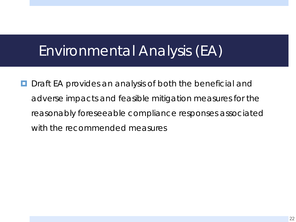### Environmental Analysis (EA)

**D** Draft EA provides an analysis of both the beneficial and adverse impacts and feasible mitigation measures for the reasonably foreseeable compliance responses associated with the recommended measures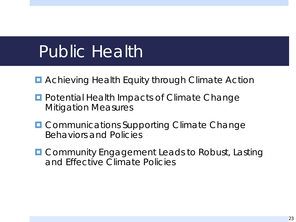# Public Health

- **E** Achieving Health Equity through Climate Action
- **Potential Health Impacts of Climate Change** Mitigation Measures
- **OCOMMUNICATIONS Supporting Climate Change** Behaviors and Policies
- **O** Community Engagement Leads to Robust, Lasting and Effective Climate Policies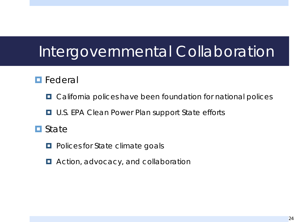## Intergovernmental Collaboration

#### **Federal**

- **D** California polices have been foundation for national polices
- **D** U.S. EPA Clean Power Plan support State efforts
- **O** State
	- **Polices for State climate goals**
	- **E** Action, advocacy, and collaboration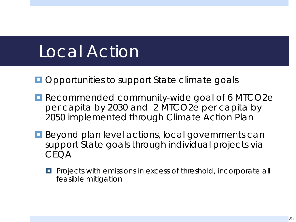# Local Action

- **Opportunities to support State climate goals**
- Recommended community-wide goal of 6 MTCO2e per capita by 2030 and 2 MTCO2e per capita by 2050 implemented through Climate Action Plan
- **Beyond plan level actions, local governments can** support State goals through individual projects via CEQA
	- **Projects with emissions in excess of threshold, incorporate all** feasible mitigation